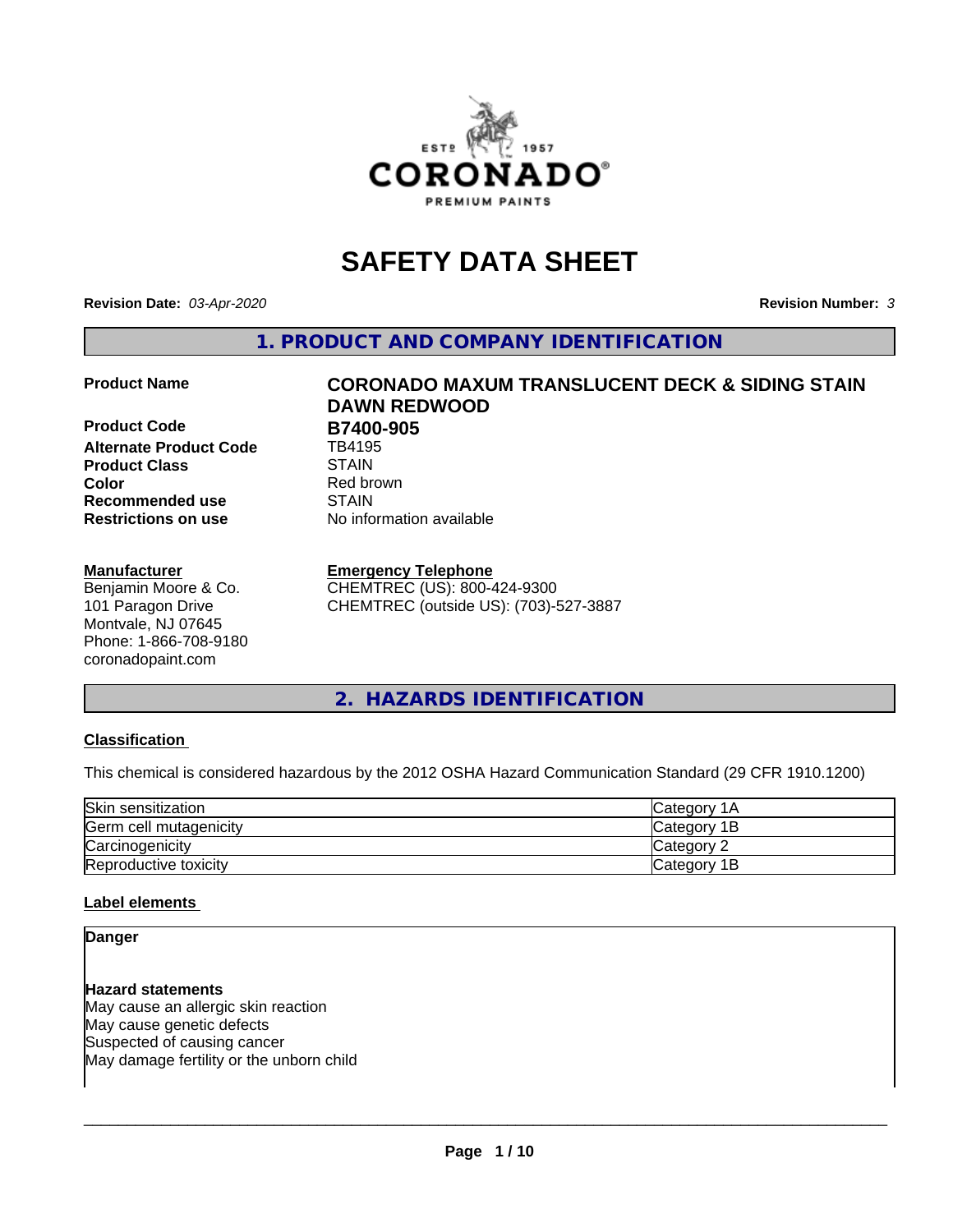

# **SAFETY DATA SHEET**

**Revision Date:** *03-Apr-2020* **Revision Number:** *3*

**1. PRODUCT AND COMPANY IDENTIFICATION**

**Product Code B7400-905**<br>Alternate Product Code **B** TB4195 **Alternate Product Code Product Class** STAIN<br> **Color** Red bro **Recommended use STAIN Restrictions on use** No information available

#### **Manufacturer**

Benjamin Moore & Co. 101 Paragon Drive Montvale, NJ 07645 Phone: 1-866-708-9180 coronadopaint.com

# **Product Name CORONADO MAXUM TRANSLUCENT DECK & SIDING STAIN DAWN REDWOOD Red brown**

#### **Emergency Telephone**

CHEMTREC (US): 800-424-9300 CHEMTREC (outside US): (703)-527-3887

#### **2. HAZARDS IDENTIFICATION**

#### **Classification**

This chemical is considered hazardous by the 2012 OSHA Hazard Communication Standard (29 CFR 1910.1200)

| Skin sensitization     | Category 1A  |
|------------------------|--------------|
| Germ cell mutagenicity | Category 1B  |
| Carcinogenicity        | Category 2   |
| Reproductive toxicity  | lCategory 1B |

#### **Label elements**

#### **Danger**

**Hazard statements** May cause an allergic skin reaction May cause genetic defects Suspected of causing cancer May damage fertility or the unborn child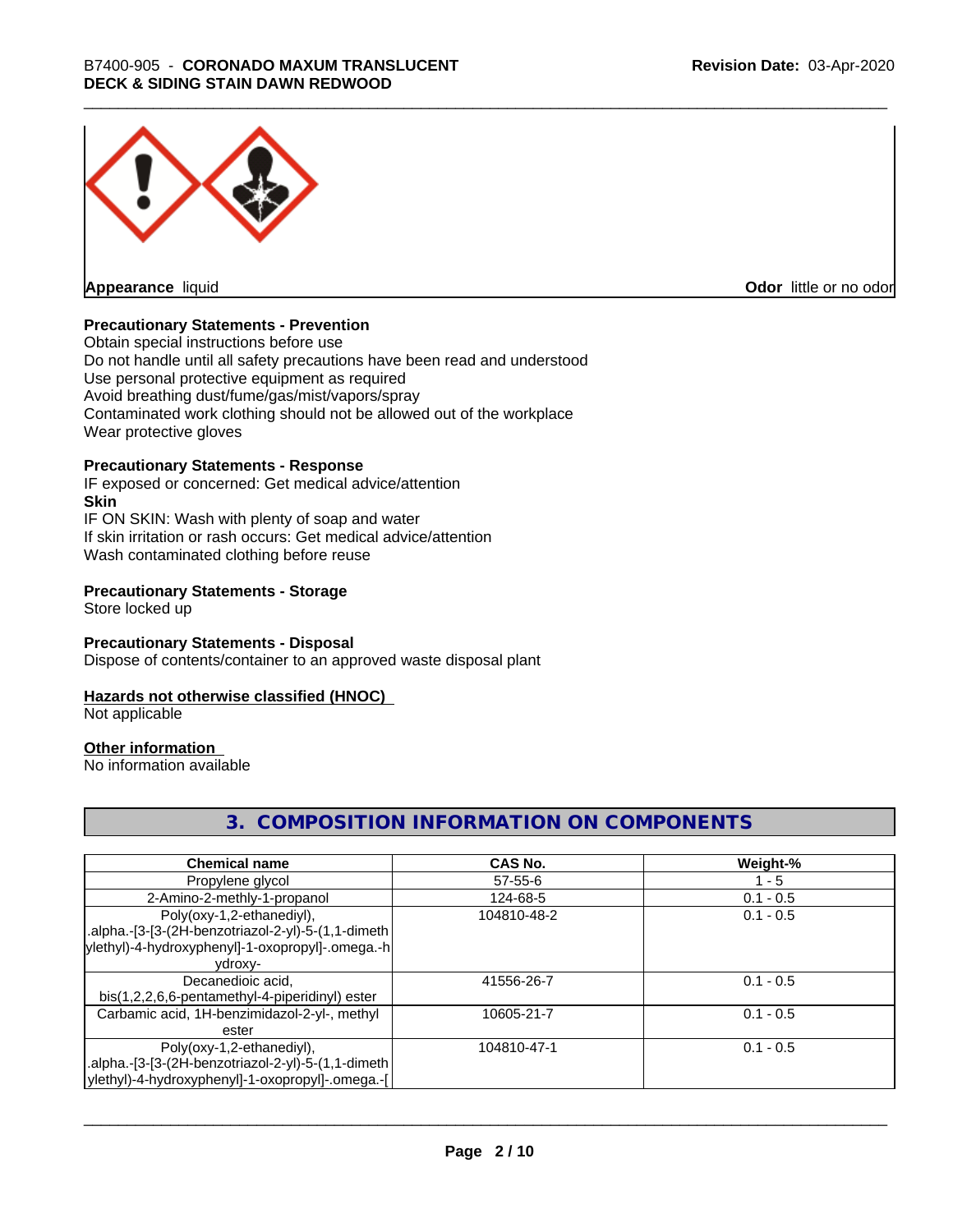

**Appearance** liquid

**Odor** little or no odor

#### **Precautionary Statements - Prevention**

Obtain special instructions before use Do not handle until all safety precautions have been read and understood Use personal protective equipment as required Avoid breathing dust/fume/gas/mist/vapors/spray Contaminated work clothing should not be allowed out of the workplace Wear protective gloves

#### **Precautionary Statements - Response**

IF exposed or concerned: Get medical advice/attention **Skin** IF ON SKIN: Wash with plenty of soap and water If skin irritation or rash occurs: Get medical advice/attention Wash contaminated clothing before reuse

#### **Precautionary Statements - Storage**

Store locked up

#### **Precautionary Statements - Disposal**

Dispose of contents/container to an approved waste disposal plant

#### **Hazards not otherwise classified (HNOC)**

Not applicable

#### **Other information**

No information available

#### **3. COMPOSITION INFORMATION ON COMPONENTS**

| <b>Chemical name</b>                               | CAS No.       | Weight-%    |
|----------------------------------------------------|---------------|-------------|
| Propylene glycol                                   | $57 - 55 - 6$ | $1 - 5$     |
| 2-Amino-2-methly-1-propanol                        | 124-68-5      | $0.1 - 0.5$ |
| Poly(oxy-1,2-ethanediyl),                          | 104810-48-2   | $0.1 - 0.5$ |
| .alpha.-[3-[3-(2H-benzotriazol-2-yl)-5-(1,1-dimeth |               |             |
| ylethyl)-4-hydroxyphenyl]-1-oxopropyl]-.omega.-h   |               |             |
| ydroxy-                                            |               |             |
| Decanedioic acid,                                  | 41556-26-7    | $0.1 - 0.5$ |
| bis(1,2,2,6,6-pentamethyl-4-piperidinyl) ester     |               |             |
| Carbamic acid, 1H-benzimidazol-2-yl-, methyl       | 10605-21-7    | $0.1 - 0.5$ |
| ester                                              |               |             |
| Poly(oxy-1,2-ethanediyl),                          | 104810-47-1   | $0.1 - 0.5$ |
| .alpha.-[3-[3-(2H-benzotriazol-2-yl)-5-(1,1-dimeth |               |             |
| ylethyl)-4-hydroxyphenyl]-1-oxopropyl]-.omega.-[   |               |             |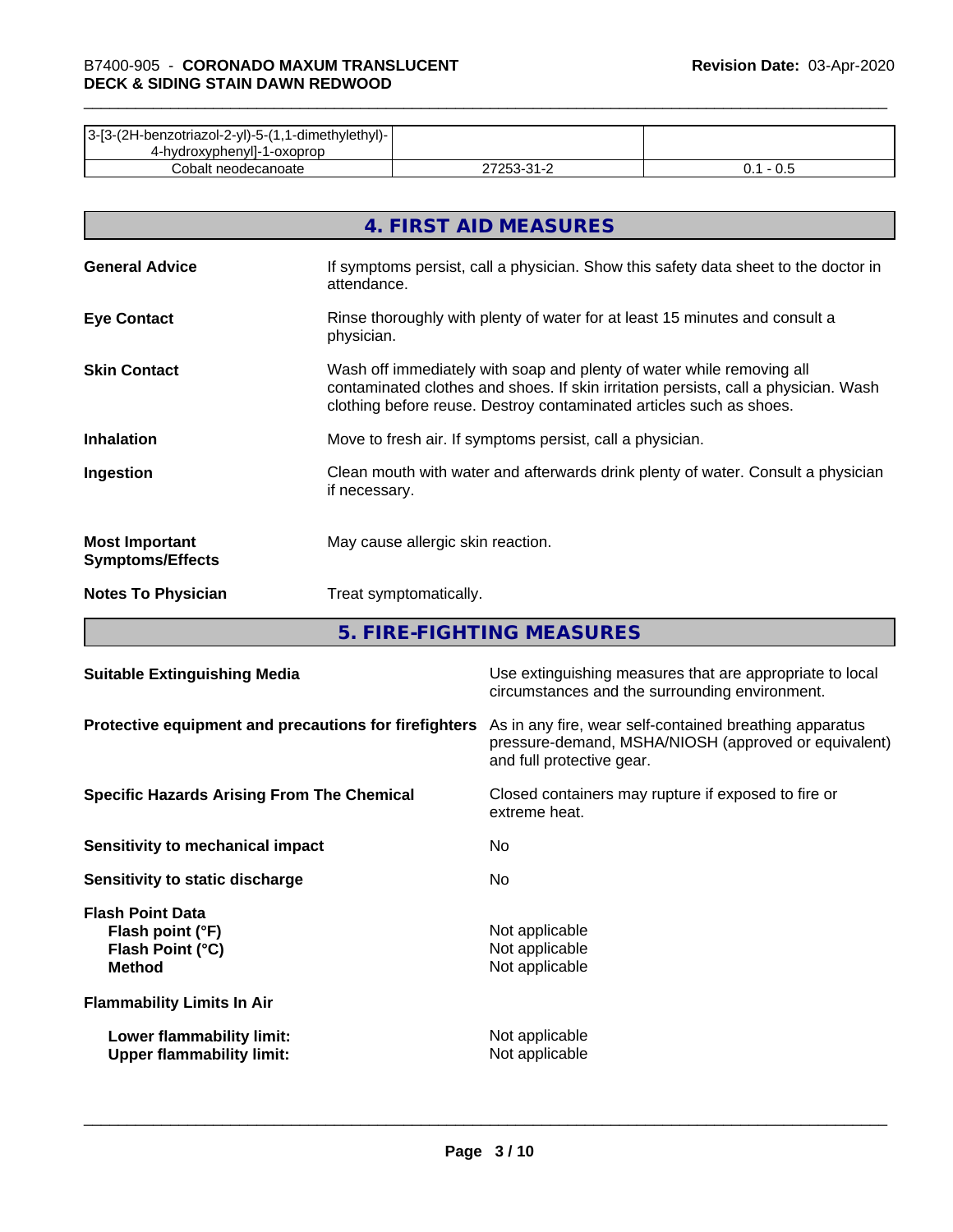| 3-[3-(2H-benzotriazol-2-yl)-5-(1,1-dimethylethyl)- |                           |     |
|----------------------------------------------------|---------------------------|-----|
| 4-hydroxyphenyll-1-oxoprop                         |                           |     |
| Cobalt neodecanoate                                | ר בר<br>ີາ<br><u> - 1</u> | v.J |

|                                                  | 4. FIRST AID MEASURES                                                                                                                                                                                                               |
|--------------------------------------------------|-------------------------------------------------------------------------------------------------------------------------------------------------------------------------------------------------------------------------------------|
| <b>General Advice</b>                            | If symptoms persist, call a physician. Show this safety data sheet to the doctor in<br>attendance.                                                                                                                                  |
| <b>Eye Contact</b>                               | Rinse thoroughly with plenty of water for at least 15 minutes and consult a<br>physician.                                                                                                                                           |
| <b>Skin Contact</b>                              | Wash off immediately with soap and plenty of water while removing all<br>contaminated clothes and shoes. If skin irritation persists, call a physician. Wash<br>clothing before reuse. Destroy contaminated articles such as shoes. |
| <b>Inhalation</b>                                | Move to fresh air. If symptoms persist, call a physician.                                                                                                                                                                           |
| Ingestion                                        | Clean mouth with water and afterwards drink plenty of water. Consult a physician<br>if necessary.                                                                                                                                   |
| <b>Most Important</b><br><b>Symptoms/Effects</b> | May cause allergic skin reaction.                                                                                                                                                                                                   |
| <b>Notes To Physician</b>                        | Treat symptomatically.                                                                                                                                                                                                              |

**5. FIRE-FIGHTING MEASURES**

| Use extinguishing measures that are appropriate to local<br>circumstances and the surrounding environment.                                   |
|----------------------------------------------------------------------------------------------------------------------------------------------|
| As in any fire, wear self-contained breathing apparatus<br>pressure-demand, MSHA/NIOSH (approved or equivalent)<br>and full protective gear. |
| Closed containers may rupture if exposed to fire or<br>extreme heat.                                                                         |
| No.                                                                                                                                          |
| No.                                                                                                                                          |
| Not applicable<br>Not applicable<br>Not applicable                                                                                           |
|                                                                                                                                              |
| Not applicable<br>Not applicable                                                                                                             |
|                                                                                                                                              |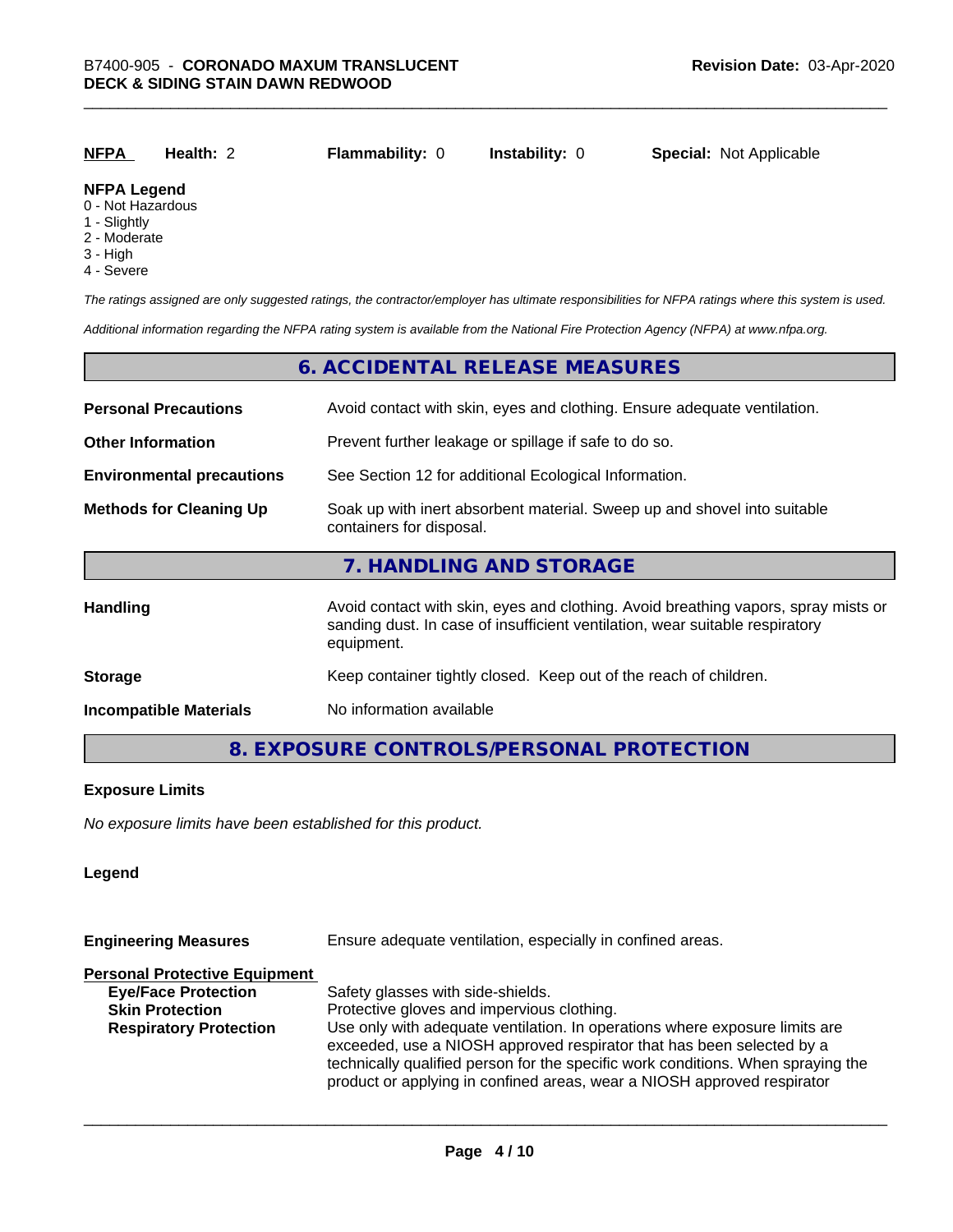| <b>NFPA</b>        | Health: 2 | <b>Flammability: 0</b> | <b>Instability: 0</b> | <b>Special: Not Applicable</b> |
|--------------------|-----------|------------------------|-----------------------|--------------------------------|
| <b>NEDA Logand</b> |           |                        |                       |                                |

#### **NFPA Legend**

- 0 Not Hazardous
- 1 Slightly
- 2 Moderate
- 3 High
- 4 Severe

*The ratings assigned are only suggested ratings, the contractor/employer has ultimate responsibilities for NFPA ratings where this system is used.*

*Additional information regarding the NFPA rating system is available from the National Fire Protection Agency (NFPA) at www.nfpa.org.*

#### **6. ACCIDENTAL RELEASE MEASURES**

| <b>Personal Precautions</b>      | Avoid contact with skin, eyes and clothing. Ensure adequate ventilation.                                                                                                         |  |  |
|----------------------------------|----------------------------------------------------------------------------------------------------------------------------------------------------------------------------------|--|--|
| <b>Other Information</b>         | Prevent further leakage or spillage if safe to do so.                                                                                                                            |  |  |
| <b>Environmental precautions</b> | See Section 12 for additional Ecological Information.                                                                                                                            |  |  |
| <b>Methods for Cleaning Up</b>   | Soak up with inert absorbent material. Sweep up and shovel into suitable<br>containers for disposal.                                                                             |  |  |
|                                  | 7. HANDLING AND STORAGE                                                                                                                                                          |  |  |
| Handling                         | Avoid contact with skin, eyes and clothing. Avoid breathing vapors, spray mists or<br>sanding dust. In case of insufficient ventilation, wear suitable respiratory<br>equipment. |  |  |
| <b>Storage</b>                   | Keep container tightly closed. Keep out of the reach of children.                                                                                                                |  |  |
| <b>Incompatible Materials</b>    | No information available                                                                                                                                                         |  |  |

#### **8. EXPOSURE CONTROLS/PERSONAL PROTECTION**

#### **Exposure Limits**

*No exposure limits have been established for this product.*

#### **Legend**

| Ensure adequate ventilation, especially in confined areas.                                                                                                                                                                                                                                                          |  |  |
|---------------------------------------------------------------------------------------------------------------------------------------------------------------------------------------------------------------------------------------------------------------------------------------------------------------------|--|--|
|                                                                                                                                                                                                                                                                                                                     |  |  |
| Safety glasses with side-shields.                                                                                                                                                                                                                                                                                   |  |  |
| Protective gloves and impervious clothing.                                                                                                                                                                                                                                                                          |  |  |
| Use only with adequate ventilation. In operations where exposure limits are<br>exceeded, use a NIOSH approved respirator that has been selected by a<br>technically qualified person for the specific work conditions. When spraying the<br>product or applying in confined areas, wear a NIOSH approved respirator |  |  |
|                                                                                                                                                                                                                                                                                                                     |  |  |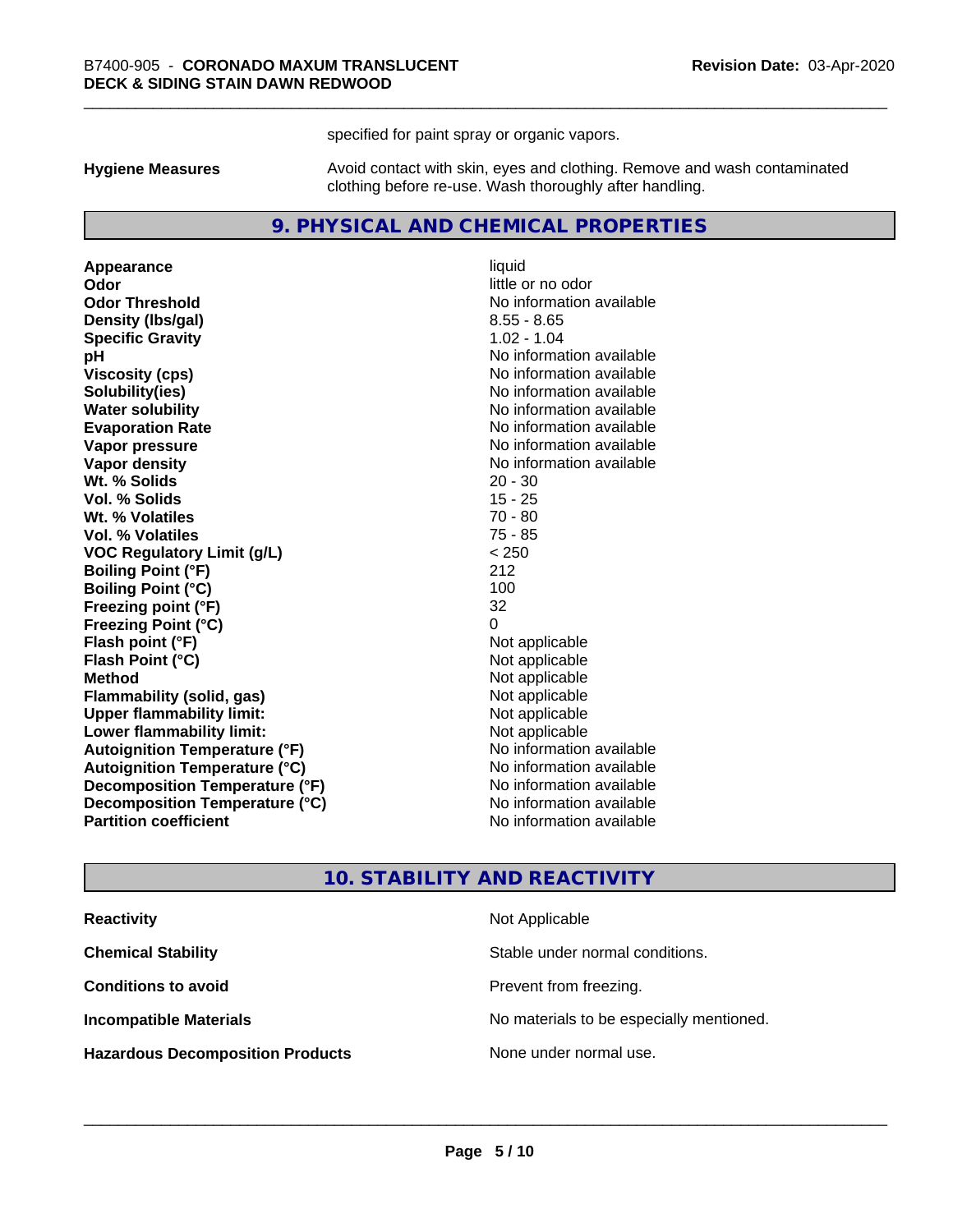specified for paint spray or organic vapors.

**Hygiene Measures** Avoid contact with skin, eyes and clothing. Remove and wash contaminated clothing before re-use. Wash thoroughly after handling.

#### **9. PHYSICAL AND CHEMICAL PROPERTIES**

**Appearance** liquid **Odor** little or no odor **Odor Threshold** No information available **Density (Ibs/gal)** 8.55 - 8.65 **Specific Gravity** 1.02 - 1.04 **pH** No information available **Viscosity (cps)** No information available **Solubility(ies)** No information available **Evaporation Rate No information available No information available Vapor pressure** No information available **Vapor density No information available No** information available **Wt. % Solids** 20 - 30 **Vol. % Solids** 15 - 25 **Wt. % Volatiles** 70 - 80 **Vol. % Volatiles** 75 - 85 **VOC Regulatory Limit (g/L)** < 250 **Boiling Point (°F)** 212 **Boiling Point (°C)** 100 **Freezing point (°F)** 32 **Freezing Point (°C)**<br> **Flash point (°F)**<br> **Flash point (°F)**<br> **Point (°F)**<br> **Point (°F)**<br> **Point (°F)**<br> **Point (°F)**<br> **Point (°F) Flash point (°F)**<br> **Flash Point (°C)**<br> **Flash Point (°C)**<br> **C Flash Point (°C) Method** Not applicable **Flammability (solid, gas)** Not applicable<br> **Upper flammability limit:** Not applicable **Upper flammability limit: Lower flammability limit:** Not applicable **Autoignition Temperature (°F)** No information available **Autoignition Temperature (°C)** No information available **Decomposition Temperature (°F)** No information available **Decomposition Temperature (°C)** No information available **Partition coefficient Contract Contract Contract Contract Contract Contract Contract Contract Contract Contract Contract Contract Contract Contract Contract Contract Contract Contract Contract Contract Contract Contract** 

**No information available** 

#### **10. STABILITY AND REACTIVITY**

| <b>Reactivity</b>                       | Not Applicable                           |
|-----------------------------------------|------------------------------------------|
| <b>Chemical Stability</b>               | Stable under normal conditions.          |
| <b>Conditions to avoid</b>              | Prevent from freezing.                   |
| <b>Incompatible Materials</b>           | No materials to be especially mentioned. |
| <b>Hazardous Decomposition Products</b> | None under normal use.                   |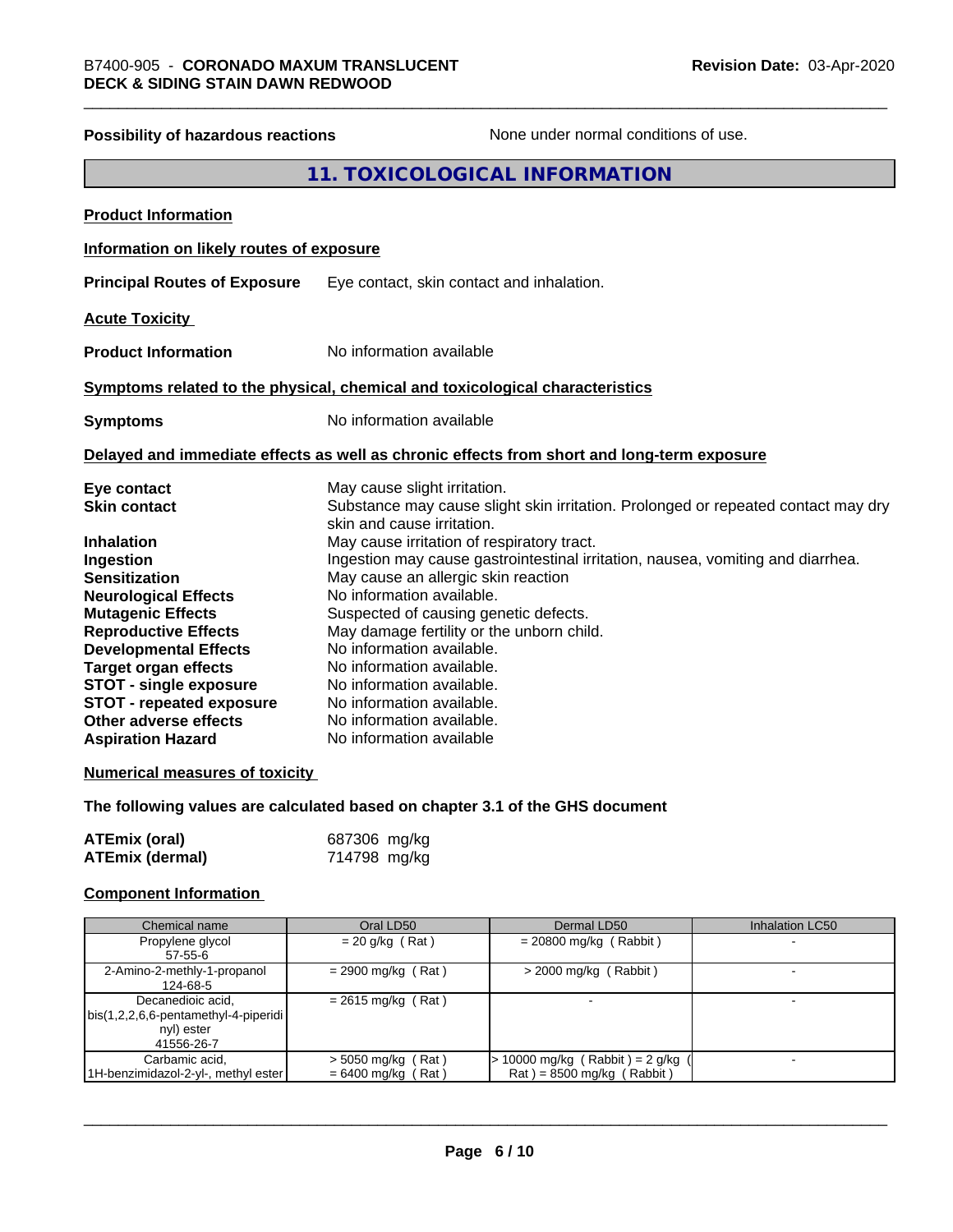## **Possibility of hazardous reactions** None under normal conditions of use. **11. TOXICOLOGICAL INFORMATION Product Information Information on likely routes of exposure Principal Routes of Exposure** Eye contact, skin contact and inhalation. **Acute Toxicity Product Information** No information available **Symptoms related to the physical,chemical and toxicological characteristics Symptoms** No information available **Delayed and immediate effects as well as chronic effects from short and long-term exposure Eye contact** May cause slight irritation. **Skin contact** Substance may cause slight skin irritation. Prolonged or repeated contact may dry skin and cause irritation. **Inhalation** May cause irritation of respiratory tract. **Ingestion Ingestion may cause gastrointestinal irritation**, nausea, vomiting and diarrhea. **Sensitization** May cause an allergic skin reaction **Neurological Effects** No information available. **Mutagenic Effects** Suspected of causing genetic defects. **Reproductive Effects** May damage fertility or the unborn child. **Developmental Effects** No information available.<br> **Target organ effects** No information available **Target organ effects** No information available.<br>**STOT - single exposure** No information available. **STOT** - single exposure **STOT** - **repeated exposure** No information available. **Other adverse effects** No information available. **Aspiration Hazard** No information available **Numerical measures of toxicity The following values are calculated based on chapter 3.1 of the GHS document**

| <b>ATEmix (oral)</b>   | 687306 mg/kg |
|------------------------|--------------|
| <b>ATEmix (dermal)</b> | 714798 mg/kg |

#### **Component Information**

| Chemical name                        | Oral LD50            | Dermal LD50                       | <b>Inhalation LC50</b> |
|--------------------------------------|----------------------|-----------------------------------|------------------------|
| Propylene glycol                     | $= 20$ g/kg (Rat)    | $= 20800$ mg/kg (Rabbit)          |                        |
| 57-55-6                              |                      |                                   |                        |
| 2-Amino-2-methly-1-propanol          | $= 2900$ mg/kg (Rat) | $>$ 2000 mg/kg (Rabbit)           |                        |
| 124-68-5                             |                      |                                   |                        |
| Decanedioic acid,                    | $= 2615$ mg/kg (Rat) |                                   |                        |
| bis(1,2,2,6,6-pentamethyl-4-piperidi |                      |                                   |                        |
| nyl) ester                           |                      |                                   |                        |
| 41556-26-7                           |                      |                                   |                        |
| Carbamic acid,                       | $>$ 5050 mg/kg (Rat) | $> 10000$ mg/kg (Rabbit) = 2 g/kg | -                      |
| 1H-benzimidazol-2-yl-, methyl ester  | $= 6400$ mg/kg (Rat) | $Rat$ = 8500 mg/kg (Rabbit)       |                        |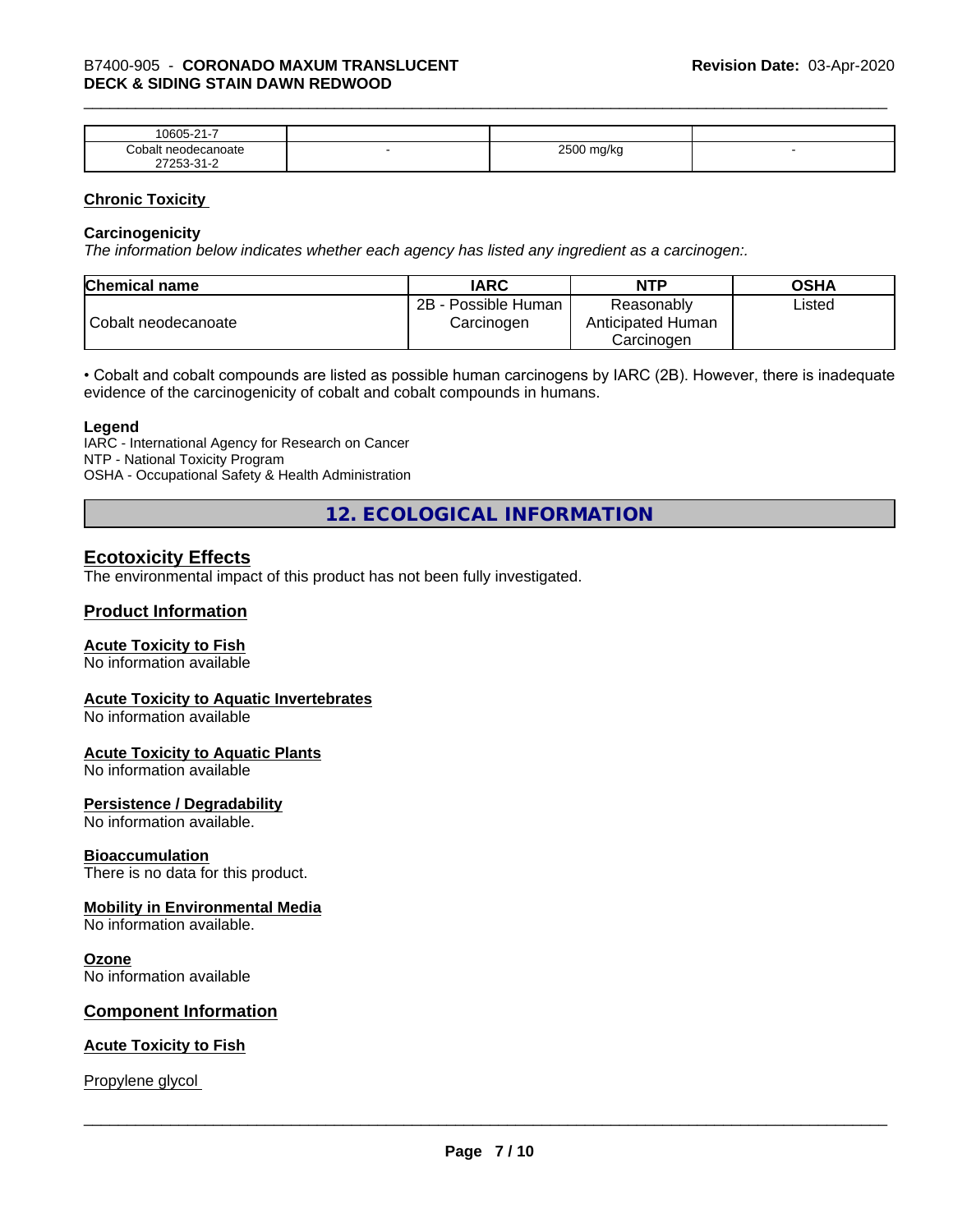| $\sim$<br>$\sim$ $\sim$ $\sim$<br>-<br>۱۲۱۱۰<br>.<br>. .                  |   |                        |  |
|---------------------------------------------------------------------------|---|------------------------|--|
| `∩h⊾<br>าoate                                                             | - | 0.500<br>W<br>- -<br>ີ |  |
| $\sim$<br>- ה<br>$ -$<br>$\sim$ $\sim$ $\sim$ $\sim$ $\sim$ $\sim$ $\sim$ |   |                        |  |

#### **Chronic Toxicity**

#### **Carcinogenicity**

*The information below indicateswhether each agency has listed any ingredient as a carcinogen:.*

| <b>Chemical name</b> | <b>IARC</b>                          | <b>NTP</b>                                    | <b>OSHA</b> |
|----------------------|--------------------------------------|-----------------------------------------------|-------------|
| Cobalt neodecanoate  | 2B<br>- Possible Human<br>Carcinogen | Reasonably<br>Anticipated Human<br>Carcinoɑen | ∟isted      |

• Cobalt and cobalt compounds are listed as possible human carcinogens by IARC (2B). However, there is inadequate evidence of the carcinogenicity of cobalt and cobalt compounds in humans.

#### **Legend**

IARC - International Agency for Research on Cancer NTP - National Toxicity Program OSHA - Occupational Safety & Health Administration

**12. ECOLOGICAL INFORMATION**

#### **Ecotoxicity Effects**

The environmental impact of this product has not been fully investigated.

#### **Product Information**

#### **Acute Toxicity to Fish**

No information available

#### **Acute Toxicity to Aquatic Invertebrates**

No information available

#### **Acute Toxicity to Aquatic Plants**

No information available

#### **Persistence / Degradability**

No information available.

#### **Bioaccumulation**

There is no data for this product.

#### **Mobility in Environmental Media**

No information available.

#### **Ozone**

No information available

#### **Component Information**

#### **Acute Toxicity to Fish**

Propylene glycol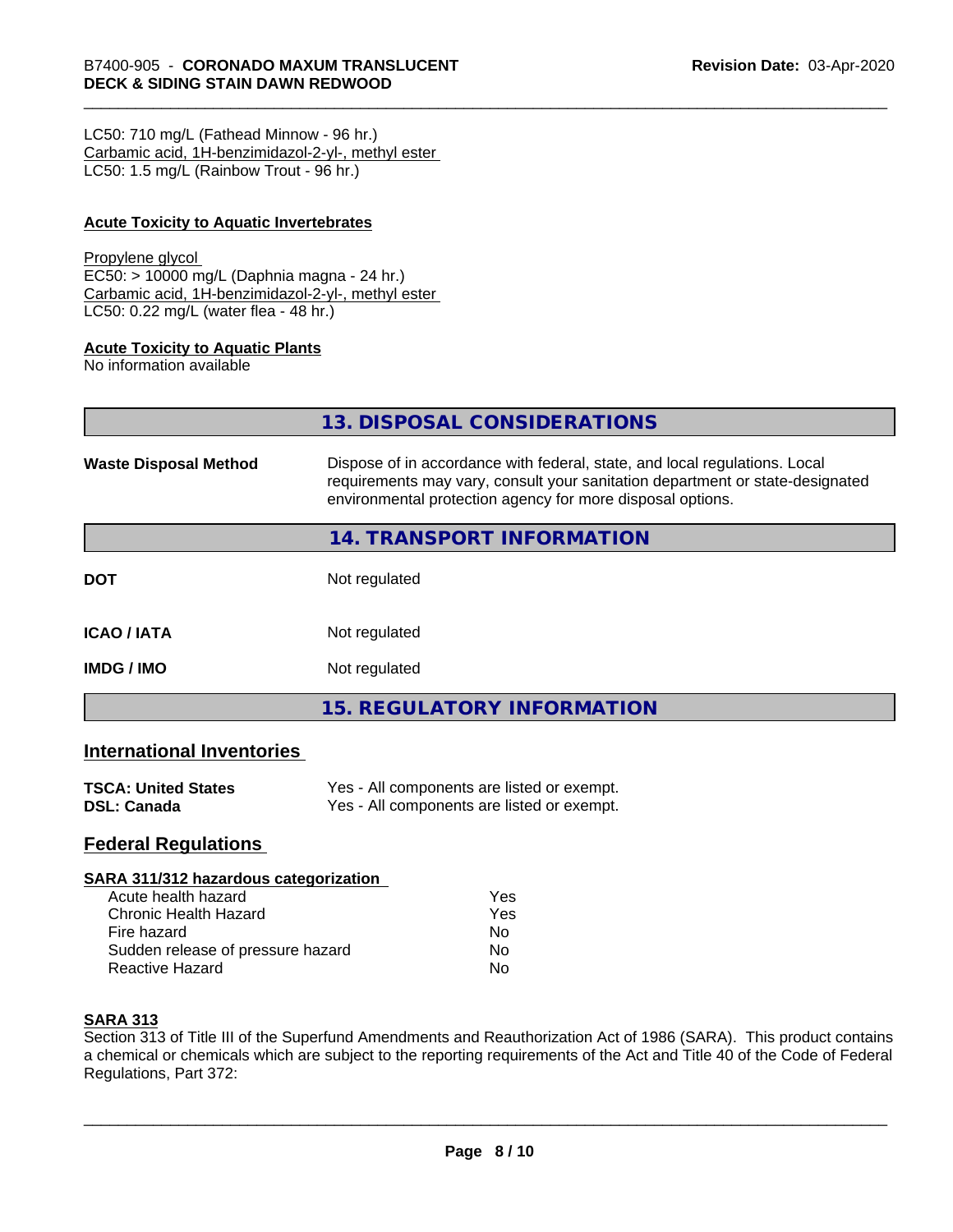LC50: 710 mg/L (Fathead Minnow - 96 hr.) Carbamic acid, 1H-benzimidazol-2-yl-, methyl ester LC50: 1.5 mg/L (Rainbow Trout - 96 hr.)

#### **Acute Toxicity to Aquatic Invertebrates**

#### Propylene glycol

EC50: > 10000 mg/L (Daphnia magna - 24 hr.) Carbamic acid, 1H-benzimidazol-2-yl-, methyl ester LC50: 0.22 mg/L (water flea - 48 hr.)

#### **Acute Toxicity to Aquatic Plants**

No information available

|                              | 13. DISPOSAL CONSIDERATIONS                                                                                                                                                                                               |
|------------------------------|---------------------------------------------------------------------------------------------------------------------------------------------------------------------------------------------------------------------------|
| <b>Waste Disposal Method</b> | Dispose of in accordance with federal, state, and local regulations. Local<br>requirements may vary, consult your sanitation department or state-designated<br>environmental protection agency for more disposal options. |
|                              | <b>14. TRANSPORT INFORMATION</b>                                                                                                                                                                                          |
| <b>DOT</b>                   | Not regulated                                                                                                                                                                                                             |
| <b>ICAO / IATA</b>           | Not regulated                                                                                                                                                                                                             |
| IMDG / IMO                   | Not regulated                                                                                                                                                                                                             |
|                              | <b>15. REGULATORY INFORMATION</b>                                                                                                                                                                                         |

#### **International Inventories**

| <b>TSCA: United States</b> | Yes - All components are listed or exempt. |
|----------------------------|--------------------------------------------|
| DSL: Canada                | Yes - All components are listed or exempt. |

#### **Federal Regulations**

#### **SARA 311/312 hazardous categorization**

| Acute health hazard               | Yes |
|-----------------------------------|-----|
| Chronic Health Hazard             | Yes |
| Fire hazard                       | N٥  |
| Sudden release of pressure hazard | N٥  |
| Reactive Hazard                   | N٥  |

#### **SARA 313**

Section 313 of Title III of the Superfund Amendments and Reauthorization Act of 1986 (SARA). This product contains a chemical or chemicals which are subject to the reporting requirements of the Act and Title 40 of the Code of Federal Regulations, Part 372: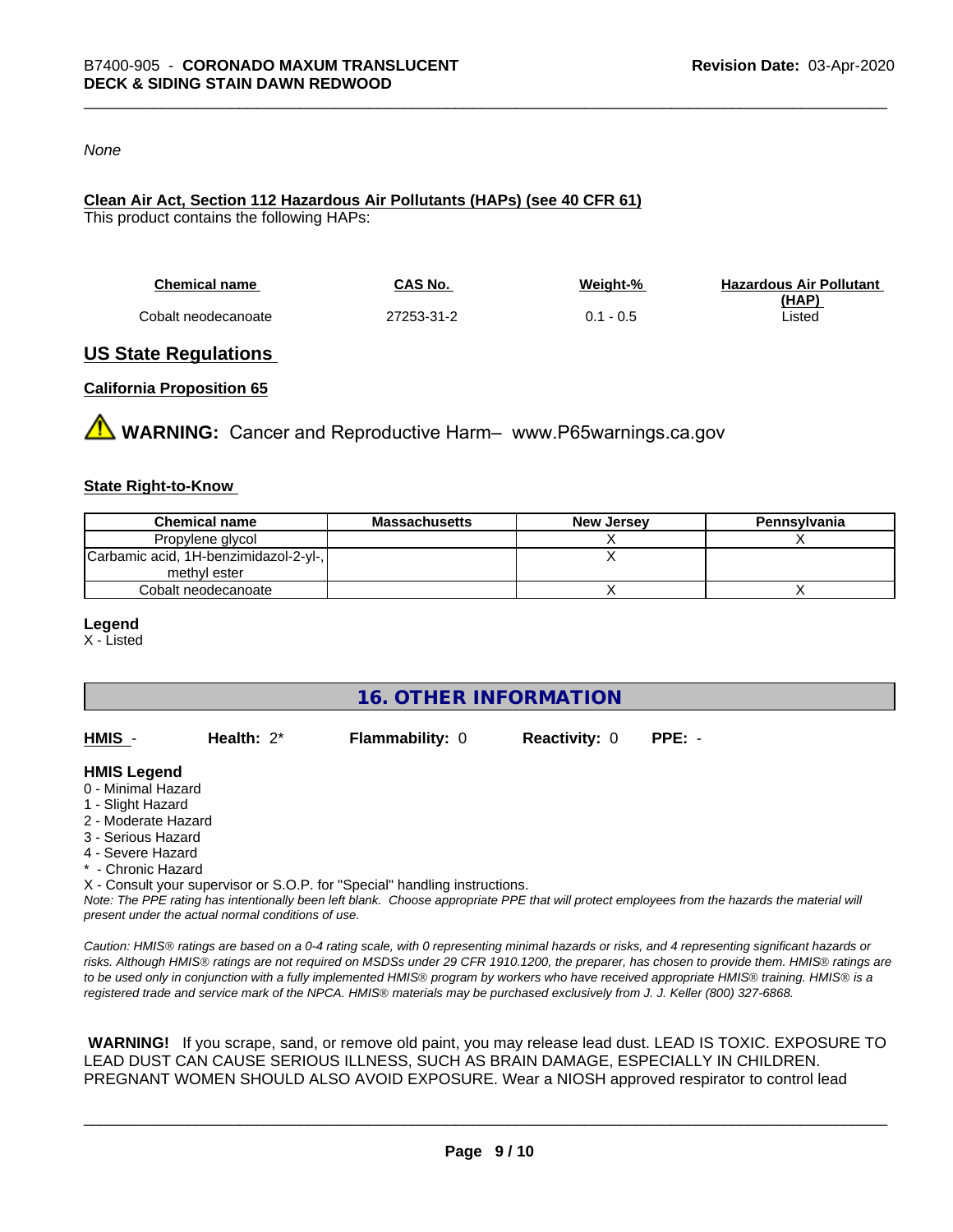#### *None*

### **Clean Air Act,Section 112 Hazardous Air Pollutants (HAPs) (see 40 CFR 61)**

This product contains the following HAPs:

| <b>Chemical name</b> | CAS No.    | Weight-%    | <b>Hazardous Air Pollutant</b> |
|----------------------|------------|-------------|--------------------------------|
|                      |            |             | (HAP)                          |
| Cobalt neodecanoate  | 27253-31-2 | $0.1 - 0.5$ | Listed                         |

#### **US State Regulations**

#### **California Proposition 65**

**WARNING:** Cancer and Reproductive Harm– www.P65warnings.ca.gov

#### **State Right-to-Know**

| <b>Chemical name</b>                  | <b>Massachusetts</b> | <b>New Jersey</b> | Pennsylvania |
|---------------------------------------|----------------------|-------------------|--------------|
| Propylene glycol                      |                      |                   |              |
| Carbamic acid, 1H-benzimidazol-2-yl-, |                      |                   |              |
| methyl ester                          |                      |                   |              |
| Cobalt neodecanoate                   |                      |                   |              |

#### **Legend**

X - Listed

**16. OTHER INFORMATION**

| HMIS | Health: $2^*$ | <b>Flammability: 0</b> | <b>Reactivity: 0</b> | PPE: - |
|------|---------------|------------------------|----------------------|--------|
|      |               |                        |                      |        |

#### **HMIS Legend**

- 0 Minimal Hazard
- 1 Slight Hazard
- 2 Moderate Hazard
- 3 Serious Hazard
- 4 Severe Hazard
- \* Chronic Hazard
- X Consult your supervisor or S.O.P. for "Special" handling instructions.

*Note: The PPE rating has intentionally been left blank. Choose appropriate PPE that will protect employees from the hazards the material will present under the actual normal conditions of use.*

*Caution: HMISÒ ratings are based on a 0-4 rating scale, with 0 representing minimal hazards or risks, and 4 representing significant hazards or risks. Although HMISÒ ratings are not required on MSDSs under 29 CFR 1910.1200, the preparer, has chosen to provide them. HMISÒ ratings are to be used only in conjunction with a fully implemented HMISÒ program by workers who have received appropriate HMISÒ training. HMISÒ is a registered trade and service mark of the NPCA. HMISÒ materials may be purchased exclusively from J. J. Keller (800) 327-6868.*

 **WARNING!** If you scrape, sand, or remove old paint, you may release lead dust. LEAD IS TOXIC. EXPOSURE TO LEAD DUST CAN CAUSE SERIOUS ILLNESS, SUCH AS BRAIN DAMAGE, ESPECIALLY IN CHILDREN. PREGNANT WOMEN SHOULD ALSO AVOID EXPOSURE.Wear a NIOSH approved respirator to control lead